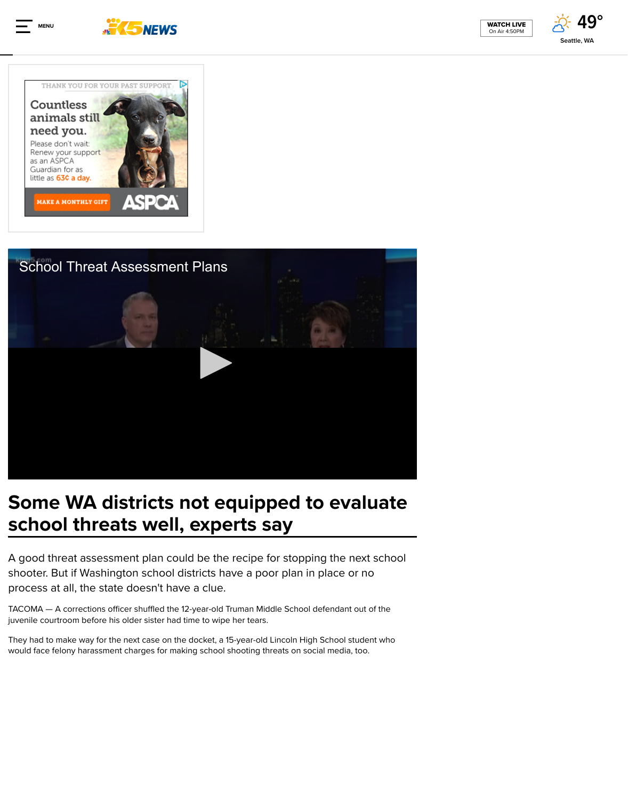

# S[ome WA districts n](http://cat.va.us.criteo.com/delivery/ck.php?cppv=1&cpp=n6H6a3xTQWlxYVg1TW1nMjQzVUdkTEU4dFIzSzhNb3ZqVmFxY1BtYlVwZjZjeFFHbDIyaTNNRnVEL0UxSkhUemFsdEpIdGVSd2ZzcHNrYUVqaUpYZnlWcktLR29WZ2dMd0UybEp5OGhtcVlNck1ESFlkVjFiMkVJT2N1Y283NE00RDFuK250L1NtM0ZMZkFuQ0U3a3k2RFdYWTdhamc5YWgya2dIRzBRUWJiV3dtMndXM0VTRlpwaXUvM2xaMnp6VVI3MlRPU2ExQTFWMEMrbE9GOE9DRlZjdzJ4TGZjMGROVnBUc2VOdXV0RUNXZWdXdTBTM1RCTjAwOUd2SGp1VlBVNUhOVkx2WlVMdHlsdjdRd0dWYTJCN0VDbzBTRjZBT25RTmJRKy9zMDhaK2VvVElCcFgvRXFHb0hacUlmR0FBaUgxZ1ZjVDRMc0MxcVNjdjJiL09UWG1BSkNDTkc5VXVTdXJaeUZiTmhDcUFBdGtqck9JbWR2UndFNUlZYm4yVzF5YXR8&maxdest=https%3A%2F%2Fad.doubleclick.net%2Fddm%2Fclk%2F411404161%3B212098948%3Ba)ot equipped to  $\epsilon$ school threats well, experts say

A good threat assessment plan could be the recipe for stopping to shooter. But if Washington school districts have a poor plan in pla process at all, the state doesn't have a clue.

TACOMA — A corrections officer shuffled the 12-year-old Truman Middle School defen juvenile courtroom before his older sister had time to wipe her tears.

They had to make way for the next case on the docket, a 15-year-old Lincoln High Sch would face felony harassment charges for making school shooting threats on social m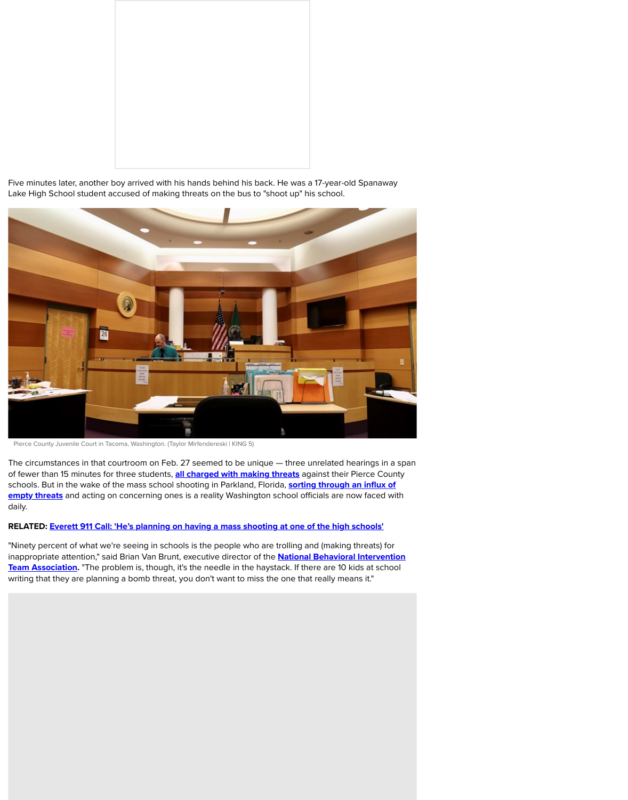

Pierce County Juvenile Court in Tacoma, Washington. (Taylor Mirfendereski | KING 5)

The circumstances in that courtroom on Feb. 27 seemed to be unique  $-$  three unrelat of fewer than 15 minutes for three students, **all charged with making threats** against t schools. But in the wake of the mass school shooting in Parkland, Florida, sorting thro empty threats and acting on concerning ones is a reality Washington school officials and daily.

### RELATED: Everett 911 Call: 'He's planning on having a mass shooting at one of the

"Ninety percent of what we're seeing in schools is the people who are trolling and (ma inappropriate attention," said Brian Van Brunt, executive director of the **National Beha** Team Association. "The problem is, though, it's the needle in the haystack. If there are writing that they are planning a bomb threat, you don't want to miss the one that really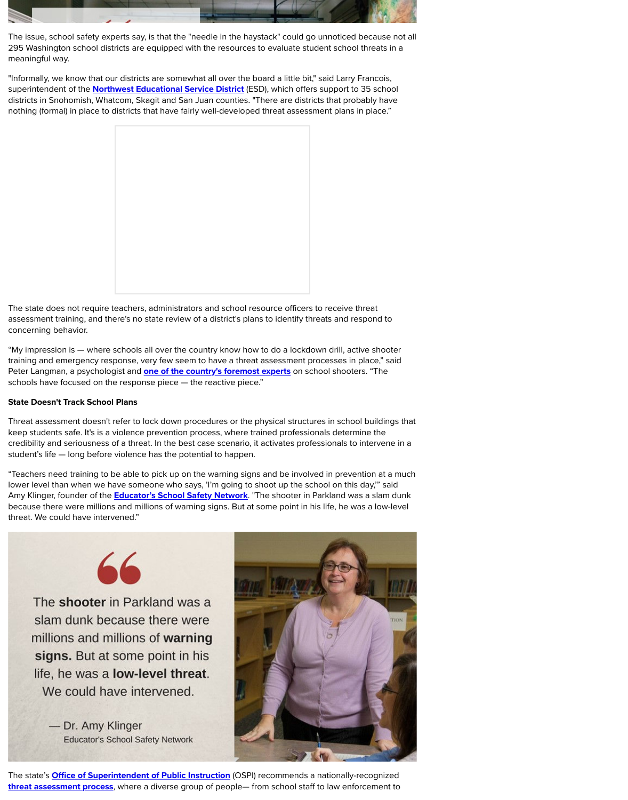Peter Langman, a psychologist and **one of the country's foremost experts** on school s schools have focused on the response piece — the reactive piece."

### State Doesn't Track School Plans

Threat assessment doesn't refer to lock down procedures or the physical structures in keep students safe. It's is a violence prevention process, where trained professionals credibility and seriousness of a threat. In the best case scenario, it activates profession student's life — long b[efore violence has the potential to happe](https://www.nwesd.org/)n.

"Teachers need training to be able to pick up on the warning signs and be involved in lower level than when we have someone who says, 'I'm going to shoot up the school Amy Klinger, founder of the **Educator's School Safety Network**. "The shooter in Parkla because there were millions and millions of warning signs. But at some point in his life threat. We could have intervened."



The shooter in Parkland was a slam dunk because there were millions and millions of warning signs. But at some point in his life, he was a **low-level threat**. We could have intervened.

- Dr. Amy Klinger **Educator's School Safety Network** 



The state's **Office of Superintendent of Public Instruction** (OSPI) recommends a national threat assessment process, where a diverse group of people- from school staff to la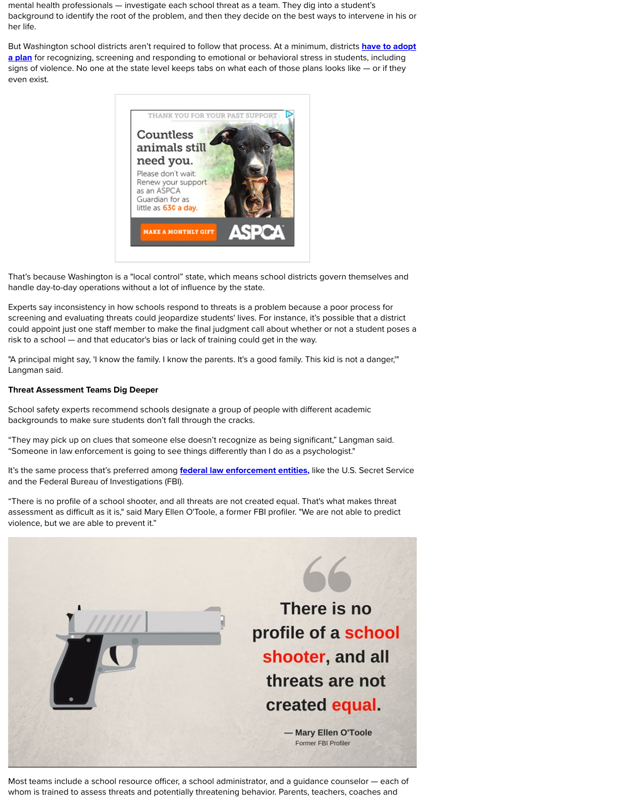Langman said.

### Threat Assessment Teams Dig Deeper

School safety experts recommend schools designate a group of people with different [backgrounds to make sure students don't fall through the cracks.](http://app.leg.wa.gov/rcw/default.aspx?cite=28A.320.127)

"They may pick up on clues that someone else doesn't recognize as being significant, "Someone in law enforcement is going to see things differently than I do as a psycholo

It's the same process that's preferred among **federal law enforcement entities**, like the and the Federal Bureau of Investigations (FBI).

"There is no profile of a school [shooter, and all threats are not created equa](http://cat.va.us.criteo.com/delivery/ck.php?cppv=1&cpp=jVsEuHxTQWlxYVg1TW1nMjQzVUdkTEU4dFIzSzhNb3ZqVmFxY1BtYlVwZjZjeFFHbDIyaTNNRnVEL0UxSkhUemFsdEpIc0paQStJNWR5aGlyVW96S3liejVlakY0NnJEdjlXQ0t1cHd2emowaDlnK0trcXR0M0NLazNYbko4dGNWR2RtTDdvcjRFb1QweU1MNVdEcU5rRy9QV0dJSHltc2diNkFVY1FaUmFhODY3QUsxbGU1cjNsM2UvT3R4dFhqbCtzbVFxQ1o4Y1p1aWZ6OUQ1UkZVYXg3WG5OVzRKMlJaODVPM09tWDNId3lxTjdHMGRaNmVyTXo1K3BuL3ZwTkltRldabGF3TUgyYXlsMmtkdjhpQ3RtK0taQUJYWVAyZkhyb04yNUhFeVdHN2hzb0FsYmpWVURqVzkyUVVXbE1yQ3A5b2ozdC9jU3A0cGdhbW5ydmVRRDFodUR1dVJXVlBwS1BqNDRpdnp5anU4QTZ6ZTYyK3ZGcDNFOExTc3ZZMFFTeVp8&maxdest=https%3A%2F%2Fad.doubleclick.net%2Fddm%2Fclk%2F411404161%3B212098948%3Ba)l. That's w assessment as difficult as it is," said Mary Ellen O'Toole, a former FBI profiler. "We are r violence, but we are able to prevent it."



Most teams include a school resource officer, a school administrator, and a quidance of whom is trained to assess threats and potentially threatening behavior. Parents, teach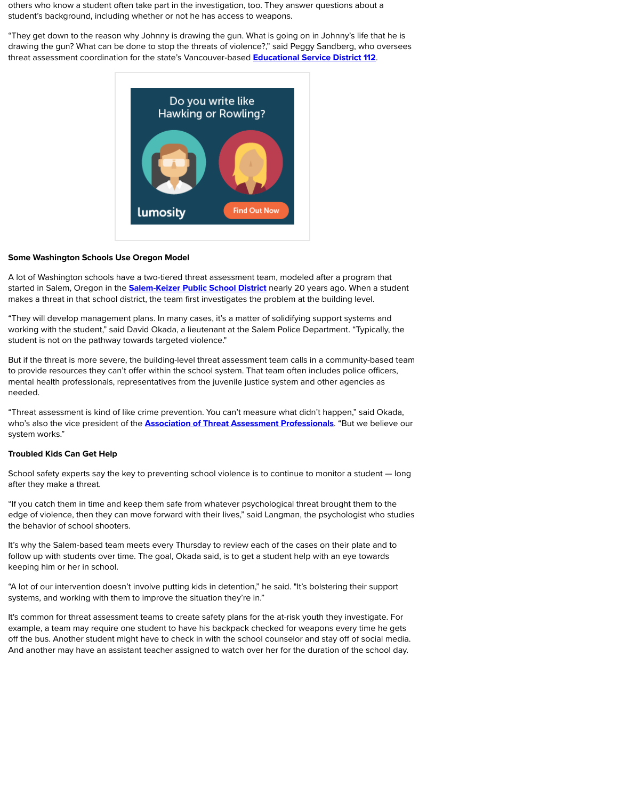to provide resources they can't offer within the school system. That team often include mental health professionals, representatives from the juvenile justice system and other needed.

"Threat assessment is kind of like crime prevention. You can't measure what didn't hap who's also the vice president of the **Association of Threat Asse[ssment Professionals](https://web3.esd112.org/prevention/threatassessment)** system works."

### Troubled Kids Can Get Help

School safety experts say the k[ey to preventing school violence is to continu](https://nym1-ib.adnxs.com/click?exSuR-F6pD86tMh2vp-aPwAAAAApXAFAOrTIdr6fmj97FK5H4XqkP1CnDqv_8I5G-TTI4Inrwjo2QaRaAAAAAIO0RwBMBQAA5wEAAAIAAAA6p_AE1bgVAAAAAABVU0QAVVNEACwB-gDy2gAAAAABAgUCAAAAAJ4A3ycQeAAAAAA./cnd=%21WwzrBQi6gJYJELrOwicY1fFWIAAoADoRZGVmYXVsdCNOWU0yOjQwNDE./bn=77410/referrer=http%3A%2F%2Fwww.king5.com%2Farticle%2Fnews%2Feducation%2Fsome-wa-districts-not-equipped-to-evaluate-school-threats-well-experts-say%2F281-526028415/clickenc=https%3A%2F%2Fwww.lumosity.com%2Flanding%3Frefer%3D7607%26sub%3D19234874_82880314_4699267_239913__http%253A%252F%252Fwww.king5.com%252Farticle%252Fnews%252Feducation%252Fsome-wa-districts-not-equipped-to-evaluate-school-threats-well-experts-say%252F281-526028415)e to mon after they make a threat.

"If you catch them in time and keep them safe from whatever psychological threat bro edge of violence, then they can move forward with their lives," said Langman, the psychologist the behavior of school shooters.

It's why the Salem-based team meets every Thursday to review each of the cases on to follow up with students over time. The goal, Okada said, is to get a student help with a keeping him or her in school.

"A lot of our intervention doesn't involve putting kids in detention," he said. "It's bolste systems, and working with them to improve the situation they're in."

It's common for threat assessment teams to create safety plans for the at-risk youth the example, a team may require one student to have his backpack checked for weapons off the bus. Another student might have to check in with the school counselor and sta And another may have an assis[tant teacher assigned to watch over h](https://salkeiz.k12.or.us/)er for the duration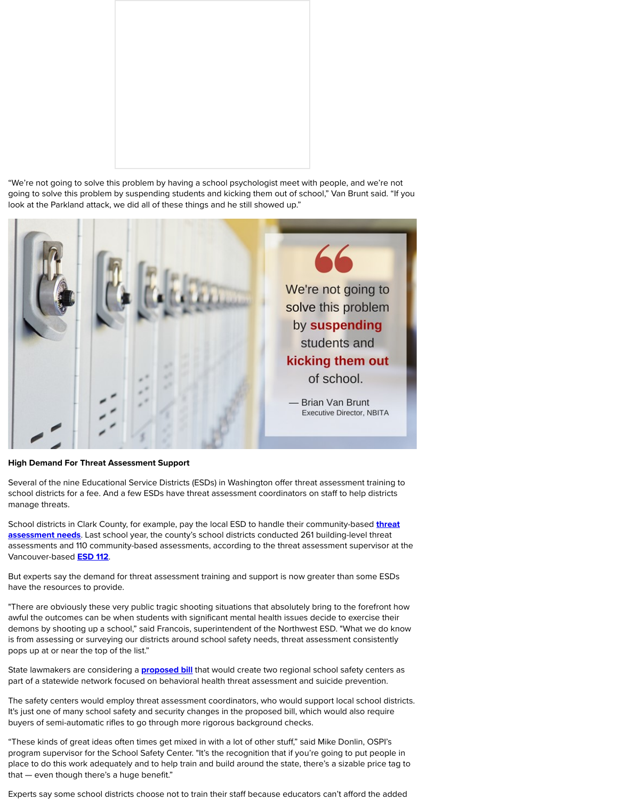

### High Demand For Threat Assessment Support

Several of the nine Educational Service Districts (ESDs) in Washington offer threat asses school districts for a fee. And a few ESDs have threat assessment coordinators on stat manage threats.

School districts in Clark County, for example, pay the local ESD to handle their communityassessment needs. Last school year, the county's school districts conducted 261 build assessments and 110 community-based assessments, according to the threat assessm Vancouver-based **ESD 112.** 

But experts say the demand for threat assessment training and support is now greater have the resources to provide.

"There are obviously these very public tragic shooting situations that absolutely bring awful the outcomes can be when students with significant mental health issues decide demons by shooting up a school," said Francois, superintendent of the Northwest ESD. is from assessing or surveying our districts around school safety needs, threat assessi pops up at or near the top of the list."

State lawmakers are considering a **proposed bill** that would create two regional schoo part of a statewide network focused on behavioral health threat assessment and suici

The safety centers would employ threat assessment coordinators, who would support It's just one of many school safety and security changes in the proposed bill, which wo buyers of semi-automatic rifles to go through more rigorous background checks.

"These kinds of great ideas often times get mixed in with a lot of other stuff," said Mike program supervisor for the School Safety Center. "It's the recognition that if you're goi place to do this work adequately and to help train and build around the state, there's a that — even though there's a huge benefit."

Experts say some school districts choose not to train their staff because educators can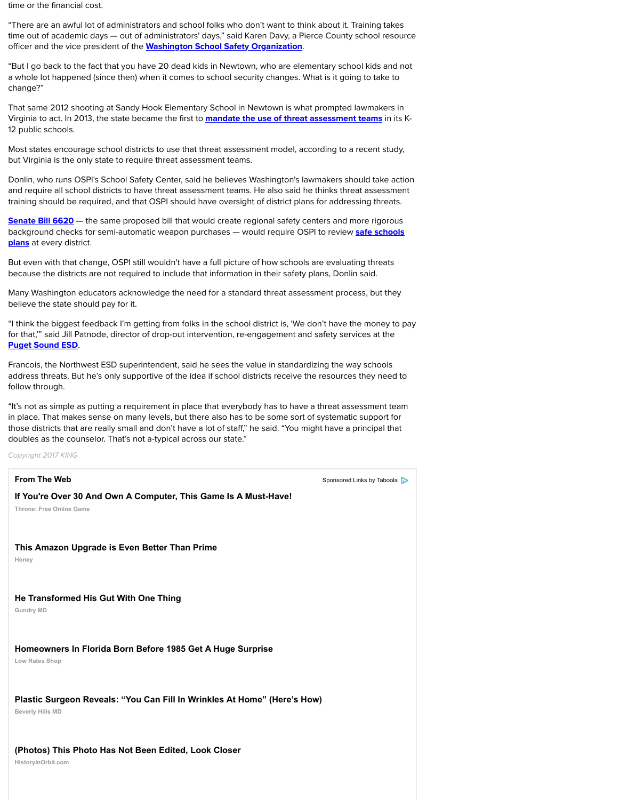Francois, the Northermore ESD superintendent, said he sees the value in standardizing the way schools the way schools address threats. But he's only supportive of the idea if school districts receive the resources follow through.

"It's not as simple as putting a requirement in place that everybody has to have a threat in place. That makes sense on man[y levels, but there also has to be some sort](https://www.wsso.us/) of system those districts that are really small and don't have a lot of staff," he said. "You might ha doubles as the counselor. That's not a-typical across our state."

*Copyright 2017 KING*

**From The Web** [Sponsored Links](https://law.lis.virginia.gov/vacode/title22.1/chapter7/section22.1-79.4/) by Taboola By Taboola By Taboola By Taboola By Taboola By Taboola By Taboola By Taboola By Taboola By Taboola By Taboola By Taboola By Taboola By Taboola By Taboola By Taboola By Taboola By T

### **If You're Over 30 And Own A Computer, This Game Is A Must-Have!**

**Throne: Free Online Game**

## **This Amazon Upgrade is Even Better Than Prime**

**Honey**

# **[He Transformed His Gut With One Thing](https://app.leg.wa.gov/rcw/default.aspx?cite=28A.320.125)**

**Gundry MD**

# **Homeowners In Florida Born Before 1985 Get A Huge Surprise**

**Low Rates Shop**

# **Plastic Surgeon Reveals: "You Can Fill In Wrinkles At Home" (Here's How)**

**[Beverly Hills MD](https://www.psesd.org/)**

# **(Photos) This Photo Has Not Been Edited, Look Closer**

**HistoryInOrbit.com**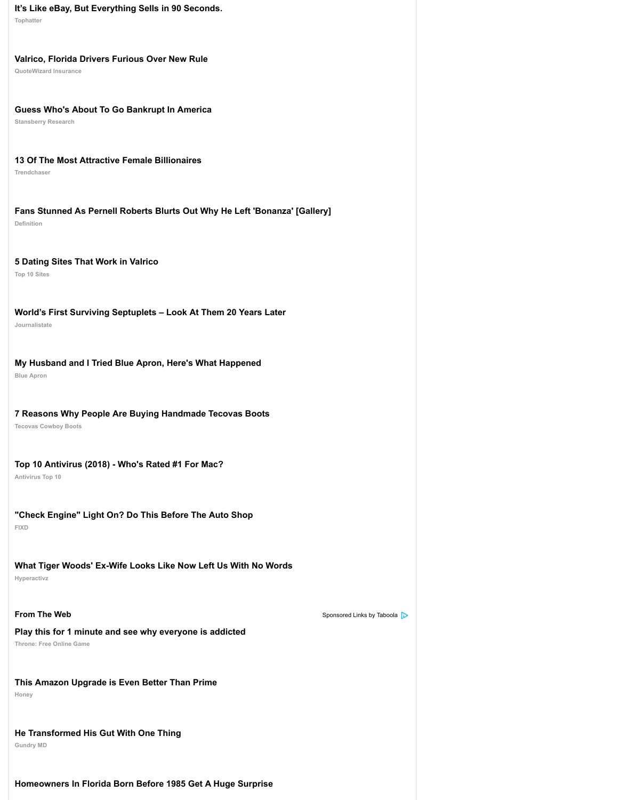# **[7 Reasons Why People Are Buying Handmade Tecovas Boots](https://tophatter.com/?categories=fashion&ad_id2=4c9511&ad_creative_id=ace0003&ad_image=square3.jpg&ad_title=%7B%7BTITLE%7D%7D&source=taboola&campaign=914904&ad_group=Desktop_Jewelry_FahsionCategory&ad_content=62043974&ad_widget=tegna-kingtv)**

**Tecovas Cowboy Boots**

## **[Top 10 Antivirus \(2018\) - Who's Rated #1 For Mac?](https://dailyfinancereport.org/?openaction=auto&v=taboola&c=c15696&key=tegna-kingtv&placement=tegna-kingtv&tabcid=963496&tid=%7Bclickid%7D&utm_source=taboola&utm_medium=referral)**

**Antivirus Top 10**

# **["Check Engine" Light On? Do This Before The Auto Shop](http://thecrux.com/dyncontent/this-will-be-biggest-political-event-in-america-in-more-than-50-years/?cid=MKT342135&eid=MKT343313&utm_source=taboola&utm_medium=referral&utm_term=tegna-kingtv&creative=http%3A%2F%2Fcdn.taboola.com%2Flibtrc%2Fstatic%2Fthumbnails%2F567a49653fcd6fad2fb6029095277660.jpg&headline=Guess+Who%27s+About+To+Go+Bankrupt+In+America)**

**FIXD**

## **[What Tiger Woods' Ex-Wife Looks Like Now Left Us With No Words](http://www.trend-chaser.com/money/youngest-female-billionaires/?utm_source=tb&utm_medium=tegna-kingtv-tb&utm_term=13+Of+The+Most+Attractive+Female+Billionaires-https%3A%2F%2Fconsole.brax-cdn.com%2Fcreatives%2Fb86bbc0b-1fab-4ae3-9b34-fef78c1a7488%2F1_ybf_8e240cc38efdab3a8633eac4dc501960.600x500.png&utm_content=58280336&utm_campaign=832678-tb) Hyperactivz**

**[From The Web](http://definition.org/bonanza-cast-facts-things-need-know/?utm_source=Taboola&utm_medium=tegna-kingtv&utm_campaign=DEF_US_D_Taboola_33135_438064&utm_content=52709078)** Sponsored Links by Taboola By Taboola By Taboola By Taboola By Taboola By Taboola By Taboola By Taboola By Taboola By Taboola By Taboola By Taboola By Taboola By Taboola By Taboola By Taboola By Taboola By T

### **[Play this for 1 minute and see why everyone is addicted](https://online-dating.thetop10sites.com/best-dating-sites-tab.html?utm_source=Taboola&utm_medium=Discovery&utm_campaign=Tab_US_DT_Chart_Whitelist&utm_term=http%3A%2F%2Fcdn.taboola.com%2Flibtrc%2Fstatic%2Fthumbnails%2F659cd94ee8b3c7f49a71c8d64ab0dd15.jpg%21-%23%40700x396_5+Dating+Sites+That+Work+in+Valrico&tgtid=61024995&network=tegna-kingtv&gclid=CjA5NmU0NjI3OS0yMGM3LTQ3Y2EtOTdkNC1mNGZkOTc1YzQzM2EtdHVjdDE4ZjE4NmMSE2JldHRlcmltcHJlc3Npb24tc2M)**

**Throne: Free Online Game**

### **[This Amazon Upgrade is Even Better Than Prime](http://www.journalistate.com/health/fertility-treatment-septuplets?utm_medium=taboola&utm_source=taboola&utm_campaign=ta-js-septuplets-des&utm_term=tegna-kingtv&utm_content=story)**

**Honey**

# **[He Transformed His Gut With One Thing](http://try.blueapron.com/sevenreasonstb/?cvosrc=content-paid.taboola.sevenreasonsTB1&utm_campaign=sevenreasonTB1&utm_medium=content-paid&utm_source=taboola)**

**Gundry MD**

### **[Homeowners In Florida Born Before 1985 Get A Huge Surprise](https://try.tecovas.com/7-reasons-why-people-are-buying-tecovas?utm_content=handmade_two_feet_hanging_2.jpg&utm_campaign=original_7-reasons_prospecting_desktop_pwl-2_none_22018&utm_source=taboola&utm_medium=native&utm_term=tegna-kingtv)**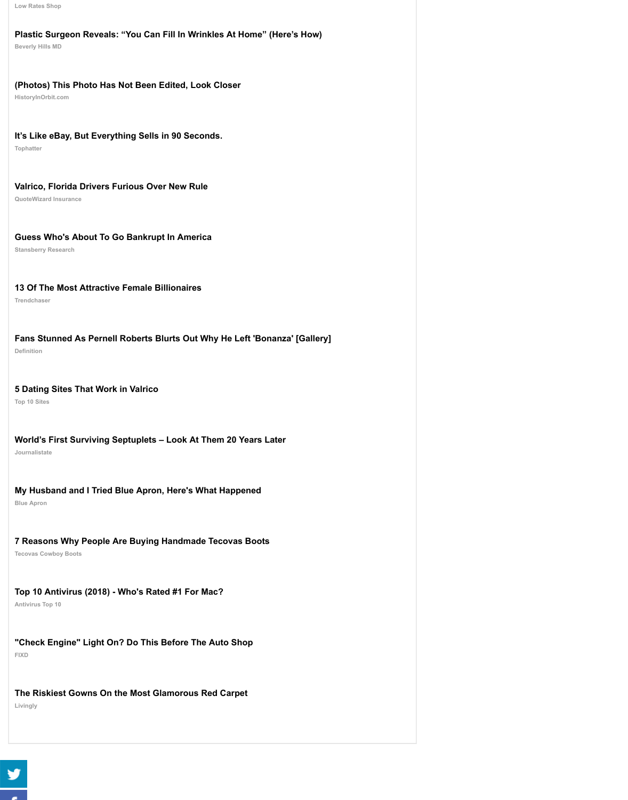# **[5 Dating Sites That Work in Valrico](http://voluumhits.com/click.php?c=863&key=fcv72qz915ptr402w8551dcz&utm_medium=TBL&utm_source=863&utm_campaign=863&utm_term=tegna-kingtv&utm_targeting=Desktop&utm_title=Homeowners+In+Florida+Born+Before+1985+Get+A+Huge+Surprise&utm_stamp=2018-03-10+20%3A33%3A58&utm_order_id=%7Bcampaign%7D&extid=CjA5NmU0NjI3OS0yMGM3LTQ3Y2EtOTdkNC1mNGZkOTc1YzQzM2EtdHVjdDE4ZjE4NmMSE2xvbm9kYS1yZWZpbmFuY2Utc2M&utm_content=64900607)**

**Top 10 Sites**

### **[World's First Surviving Septuplets – Look At Them 20 Years Later](http://beverlyhillsmd.com/cmd.php?ad=865099&utm_source=taboola&utm_medium=referral)**

**Journalistate**

### **[My Husband and I Tried Blue Apron, Here's What Happened](http://www.historyinorbit.com/40-rare-historic-photos-no-photoshop-here/?utm_source=taboola&utm_medium=LAZ_historyinorbit.com-Desk-US-45Hist-A2&utm_term=tegna-kingtv&utm_campaign=%28Photos%29+This+Photo+Has+Not+Been+Edited%2C+Look+Closer)**

**Blue Apron**

### **[7 Reasons Why People Are Buying Handmade Tecovas Boots](https://tophatter.com/?categories=fashion&ad_id2=4c9510&ad_creative_id=ace0002&ad_image=square2.jpg&ad_title=%7B%7BTITLE%7D%7D&source=taboola&campaign=914904&ad_group=Desktop_Jewelry_FahsionCategory&ad_content=62043973&ad_widget=tegna-kingtv)**

**Tecovas Cowboy Boots**

### **[Top 10 Antivirus \(2018\) - Who's Rated #1 For Mac?](https://dailyfinancereport.org/?openaction=auto&v=taboola&c=c15696&key=tegna-kingtv&placement=tegna-kingtv&tabcid=963496&tid=%7Bclickid%7D&utm_source=taboola&utm_medium=referral)**

**Antivirus Top 10**

#### **FIXD ["Check Engine" Light On? Do This Before The Auto Shop](http://thecrux.com/dyncontent/this-will-be-biggest-political-event-in-america-in-more-than-50-years/?cid=MKT342135&eid=MKT343313&utm_source=taboola&utm_medium=referral&utm_term=tegna-kingtv&creative=http%3A%2F%2Fcdn.taboola.com%2Flibtrc%2Fstatic%2Fthumbnails%2F567a49653fcd6fad2fb6029095277660.jpg&headline=Guess+Who%27s+About+To+Go+Bankrupt+In+America)**

# **[The Riskiest Gowns On the Most Glamorous Red Carpet](http://www.trend-chaser.com/money/youngest-female-billionaires/?utm_source=tb&utm_medium=tegna-kingtv-tb&utm_term=13+Of+The+Most+Attractive+Female+Billionaires-https%3A%2F%2Fconsole.brax-cdn.com%2Fcreatives%2Fb86bbc0b-1fab-4ae3-9b34-fef78c1a7488%2F1_ybf_8e240cc38efdab3a8633eac4dc501960.600x500.png&utm_content=58280336&utm_campaign=832678-tb)**

**[Livingly](http://definition.org/bonanza-cast-facts-things-need-know/?utm_source=Taboola&utm_medium=tegna-kingtv&utm_campaign=DEF_US_D_Taboola_33135_438064&utm_content=52709078)**